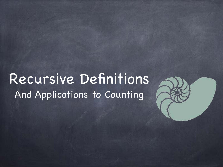## Recursive Definitions And Applications to Counting

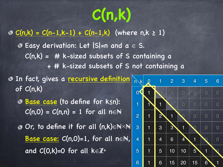# **C(n,k)**

#### ©  $C(n,k) = C(n-1,k-1) + C(n-1,k)$  (where n,k ≥ 1)

- $\odot$  Easy derivation: Let |S|=n and a  $\in$  S.  $C(n,k)$  = # k-sized subsets of S containing a + # k-sized subsets of S not containing a
- **In fact, gives a recursive definition** of C(n,k)
	- Base case (to define for k≤n):  $C(n,0) = C(n,n) = 1$  for all n $\in \mathbb{N}$
	- Or, to define it for all (n,k)∈N×N Base case:  $C(n,0)=1$ , for all n $\in \mathbb{N}$ , and  $C(0,k)=0$  for all  $k \in \mathbb{Z}^+$

| $\left  \mathsf{k} \right $<br>$\mathsf{n}$ | $\boldsymbol{0}$ | 1 | $\overline{2}$      | 3            | 4                     | 5 | 6              |
|---------------------------------------------|------------------|---|---------------------|--------------|-----------------------|---|----------------|
| $\mathbf{0}^{\prime}$                       |                  |   | Λ                   | $\Omega$     | $\mathbf 0$           | 0 | 0              |
| 1                                           | 1                | 1 |                     | O            | $\overline{\text{O}}$ | 0 | $\overline{0}$ |
| $\overline{2}$                              | $\mathbf 1$      | 2 | 1                   |              | O                     | 0 | O              |
| 3                                           | 1                | 3 | $\overline{3}$      | i<br>1       |                       | 0 | O              |
| $\overline{4}$                              | 1                | 4 | 6                   | j<br>4       | 1                     |   | Ω              |
| 5                                           | 1                | 5 | $\overline{0}$<br>1 | I<br>10      | 5                     | 1 |                |
| 6                                           | 1                | 6 | 15                  | į<br>İ<br>20 | 15                    | 6 | I<br>1         |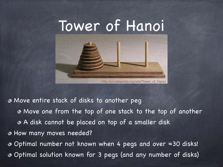

http://en.wikipedia.org/wiki/Tower\_of\_Hanoi

Move entire stack of disks to another peg

Move one from the top of one stack to the top of another A disk cannot be placed on top of a smaller disk How many moves needed? Optimal number not known when 4 pegs and over ≈30 disks! Optimal solution known for 3 pegs (and any number of disks)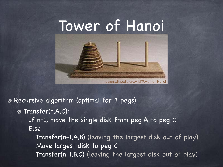

http://en.wikipedia.org/wiki/Tower\_of\_Hanoi

Recursive algorithm (optimal for 3 pegs)

**Transfer(n,A,C):** 

 If n=1, move the single disk from peg A to peg C Else

 Transfer(n-1,A,B) (leaving the largest disk out of play) Move largest disk to peg C Transfer(n-1,B,C) (leaving the largest disk out of play)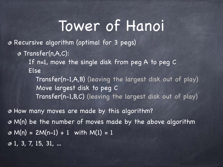## Tower of Hanoi

Recursive algorithm (optimal for 3 pegs)

Transfer(n,A,C):

 If n=1, move the single disk from peg A to peg C Else

 Transfer(n-1,A,B) (leaving the largest disk out of play) Move largest disk to peg C Transfer(n-1,B,C) (leaving the largest disk out of play)

How many moves are made by this algorithm? M(n) be the number of moves made by the above algorithm  $\textcirc M(n) = 2M(n-1) + 1$  with  $M(1) = 1$  $\odot$  1, 3, 7, 15, 31, ...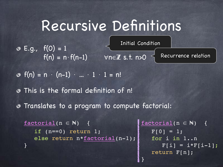## Recursive Definitions

 $\circ$  E.g.,  $f(0) = 1$  $f(n) = n \cdot f(n-1)$   $\forall n \in \mathbb{Z}$  s.t. n>0 Initial Condition Recurrence relation

 $f(n) = n \cdot (n-1) \cdot ... \cdot 1 \cdot 1 = n!$ 

This is the formal definition of n!

Translates to a program to compute factorial:

 $factorial(n \in \mathbb{N})$  { if (n==0) return 1; else return n\*factorial(n-1); }

 $factorial(n \in N)$  {  $F[0] = 1;$  for i in 1..n  $F[i] = i * F[i-1];$ return F[n];

}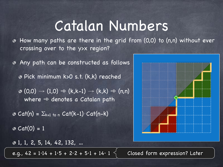### Catalan Numbers

How many paths are there in the grid from (0,0) to (n,n) without ever  $\bullet$ crossing over to the y>x region?

Any path can be constructed as follows

Pick minimum k>0 s.t. (k,k) reached

 $\phi$  (0,0)  $\rightarrow$  (1,0)  $\Rightarrow$  (k,k-1)  $\rightarrow$  (k,k)  $\Rightarrow$  (n,n) where  $\Rightarrow$  denotes a Catalan path

 $\bullet$  Cat(n) =  $\Sigma_{k=1 \text{ to } n}$  Cat(k-1) $\cdot$ Cat(n-k)  $\odot$  Cat(0) = 1

1, 1, 2, 5, 14, 42, 132, …

e.g., 42 =  $1.14 + 1.5 + 2.2 + 5.1 + 14.1$   $\leq$  Closed form expression? Later

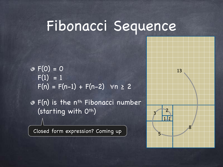#### Fibonacci Sequence

 $\Phi F(0) = 0$  $F(1) = 1$  $F(n) = F(n-1) + F(n-2)$   $\forall n \ge 2$ 

o F(n) is the n<sup>th</sup> Fibonacci number (starting with O<sup>th</sup>)

Closed form expression? Coming up



13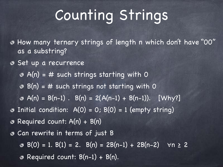## Counting Strings

How many ternary strings of length n which don't have "00" as a substring?

**Set up a recurrence** 

 $\odot$  A(n) = # such strings starting with 0

 $\odot$  B(n) = # such strings not starting with 0

- $\triangleleft$  A(n) = B(n-1) . B(n) = 2(A(n-1) + B(n-1)). [Why?]
- $\bullet$  Initial condition: A(0) = 0; B(0) = 1 (empty string)

Required count: A(n) + B(n) ◎

Can rewrite in terms of just B

 $\bullet$  B(0) = 1. B(1) = 2. B(n) = 2B(n-1) + 2B(n-2)  $\forall n \ge 2$ 

**B** Required count:  $B(n-1) + B(n)$ .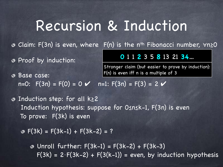## Recursion & Induction

Claim: F(3n) is even, where F(n) is the nth Fibonacci number, ∀n≥0

**0** 1 1 **2** 3 5 **8** 13 21 **34**…

Stronger claim (but easier to prove by induction):

Proof by induction:

#### Base case:  $n=0$ :  $F(3n) = F(0) = 0 \,$   $\vee$   $n=1$ :  $F(3n) = F(3) = 2 \,$   $\vee$ F(n) is even iff n is a multiple of 3

Induction step: for all k≥2 Induction hypothesis: suppose for 0≤n≤k-1, F(3n) is even To prove: F(3k) is even

 $\Phi$  F(3k) = F(3k-1) + F(3k-2) = ?

 $\odot$  Unroll further:  $F(3k-1) = F(3k-2) + F(3k-3)$  $F(3k) = 2 \cdot F(3k-2) + F(3(k-1)) =$  even, by induction hypothesis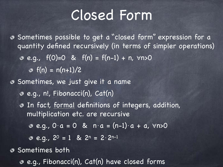## Closed Form

Sometimes possible to get a "closed form" expression for a quantity defined recursively (in terms of simpler operations)  $e.g., f(0)=0$  &  $f(n) = f(n-1) + n, \forall n>0$  $f(n) = n(n+1)/2$ Sometimes, we just give it a name e.g., n!, Fibonacci(n), Cat(n) In fact, formal definitions of integers, addition, multiplication etc. are recursive  $e.g., 0 \cdot a = 0$  &  $n \cdot a = (n-1) \cdot a + a$ ,  $\forall n > 0$  $e. q., 2^0 = 1$  &  $2^n = 2 \cdot 2^{n-1}$ 

**Sometimes both** 

e.g., Fibonacci(n), Cat(n) have closed forms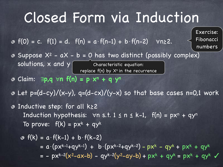## Closed Form via Induction

Exercise:

Fibonacci

numbers

 $\bullet$   $f(0) = c$ .  $f(1) = d$ .  $f(n) = a \cdot f(n-1) + b \cdot f(n-2)$   $\forall n \ge 2$ .

- $\bullet$  Suppose  $X^2$   $aX b = 0$  has two distinct (possibly complex) solutions,  $\times$  and  $\times$   $\boxed{\hspace{1.5cm}}$  Characteristic equation: replace f(n) by  $\mathsf{X}^{\mathsf{n}}$  in the recurrence
- Claim: ∃**p,q** ∀**n f(n) = p**⋅**xn + q**⋅**y<sup>n</sup>**
- $\bullet$  Let p=(d-cy)/(x-y), q=(d-cx)/(y-x) so that base cases n=0,1 work
- Inductive step: for all k≥2 Induction hypothesis:  $\forall n \leq t$ . 1  $\leq n \leq k-1$ ,  $f(n) = px^n + qy^n$ To prove:  $f(k) = px^{k} + qy^{k}$

• 
$$
f(k) = a \cdot f(k-1) + b \cdot f(k-2)
$$
  
=  $a \cdot (px^{k-1}+qy^{k-1}) + b \cdot (px^{k-2}+qy^{k-2}) - px^k - qy^k + px^k + qy^k$   
=  $- px^{k-2}(x^2-ax-b) - qy^{k-2}(y^2-ay-b) + px^k + qy^k = px^k + qy^k$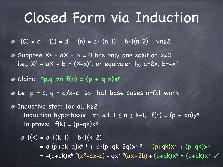## Closed Form via Induction

 $\Phi$  f(0) = c. f(1) = d. f(n) = a⋅f(n-1) + b⋅f(n-2)  $\forall$ n≥2.

- $\bullet$  Suppose  $X^2$   $aX b = 0$  has only one solution  $x \ne 0$ i.e.,  $X^2$  -  $aX - b = (X-x)^2$ , or equivalently,  $a=2x$ ,  $b=-x^2$
- Claim: ∃**p,q** ∀**n f(n) = (p + q**⋅**n)x<sup>n</sup>**
- $\infty$  Let  $p = c$ ,  $q = d/x-c$  so that base cases n=0,1 work
- Inductive step: for all k≥2 Induction hypothesis:  $\forall n \leq t$ . 1  $\leq n \leq k-1$ ,  $f(n) = (p + qn)y^n$ To prove:  $f(k) = (p+qk)x^{k}$

$$
\begin{aligned}\n\Phi \ f(k) &= a \cdot f(k-1) + b \cdot f(k-2) \\
&= a \ (p+qk-q)x^{k-1} + b \cdot (p+qk-2q)x^{k-2} - (p+qk)x^k + (p+qk)x^k \\
&= -(p+qk)x^{k-2}(x^2-ax-b) - qx^{k-2}(ax+2b) + (p+qk)x^k = (p+qk)x^k\n\end{aligned}
$$